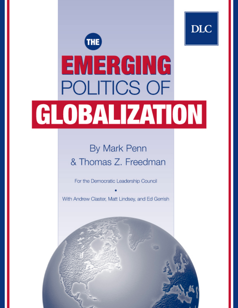# **DLC** THE EMERGING **POLITICS OF** GLOBALIZATION

### **By Mark Penn** & Thomas Z. Freedman

For the Democratic Leadership Council

With Andrew Claster, Matt Lindsey, and Ed Gerrish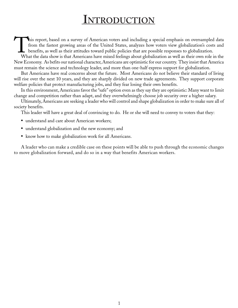### **INTRODUCTION**

This report, based on a survey of American voters and including a special emphasis on oversampled data from the fastest growing areas of the United States, analyzes how voters view globalization's costs and benefits, as well as their attitudes toward public policies that are possible responses to globalization.

What the data show is that Americans have mixed feelings about globalization as well as their own role in the New Economy. As befits our national character, Americans are optimistic for our country. They insist that America must remain the science and technology leader, and more than one-half express support for globalization.

But Americans have real concerns about the future. Most Americans do not believe their standard of living will rise over the next 10 years, and they are sharply divided on new trade agreements. They support corporate welfare policies that protect manufacturing jobs, and they fear losing their own benefits.

In this environment, Americans favor the "safe" option even as they say they are optimistic: Many want to limit change and competition rather than adapt, and they overwhelmingly choose job security over a higher salary.

Ultimately, Americans are seeking a leader who will control and shape globalization in order to make sure all of society benefits.

This leader will have a great deal of convincing to do. He or she will need to convey to voters that they:

- understand and care about American workers;
- understand globalization and the new economy; and
- know how to make globalization work for all Americans.

A leader who can make a credible case on these points will be able to push through the economic changes to move globalization forward, and do so in a way that benefits American workers.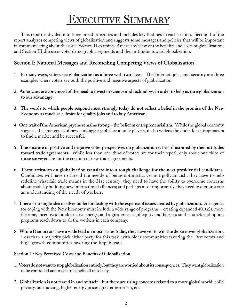## **EXECUTIVE SUMMARY**

This report is divided into three broad categories and includes key findings in each section. Section I of the report analyzes competing views of globalization and suggests some messages and policies that will be important in communicating about the issue; Section II examines Americans' view of the benefits and costs of globalization; and Section III discusses voter demographic segments and their attitudes toward globalization.

#### **Section I: National Messages and Reconciling Competing Views of Globalization**

- 1. **In many ways, voters see globalization as a force with two faces.** The Internet, jobs, and security are three examples where voters see both the positive and negative aspects of globalization.
- 2. **Americans are convinced of the need to invest in science and technology in order to help us turn globalization to our advantage.**
- 3. **The words to which people respond most strongly today do not reflect a belief in the promise of the New Economy as much as a desire for quality jobs and to buy American**.
- 4. **One trait of the American psyche remains strong the belief in entrepreneurialism.** While the global economy suggests the emergence of new and bigger global economic players, it also widens the doors for entrepreneurs to find a market and be successful.
- 5. **The mixture of positive and negative voter perspectives on globalization is best illustrated by their attitudes toward trade agreements.** While less than one-third of voters are for their repeal, only about one-third of those surveyed are for the creation of new trade agreements.
- 6. **These attitudes on globalization translate into a tough challenge for the next presidential candidates.** Candidates will have to thread the needle of being optimistic, yet not pollyannaish; they have to help redefine what fair trade means in the 21st century; they need to have the ability to overcome concerns about trade by building new international alliances; and perhaps most importantly, they need to demonstrate an understanding of the needs of workers.
- 7. **There is no single idea or silver bullet for dealing with the expanse of issues created by globalization.** An agenda for coping with the New Economy must include a wide range of programs – creating expanded 401(k)s, more flextime, incentives for alternative energy, and a greater sense of equity and fairness so that stock and option programs reach down to all the workers in each company.
- 8. **While Democrats have a wide lead on most issues today, they have yet to win the debate over globalization.** Less than a majority pick either party for this task, with older communities favoring the Democrats and high-growth communities favoring the Republicans.

#### **Section II: Key Perceived Costs and Benefits of Globalization**

- 1. **Voters do not want to stop globalization entirely, but they are worried about its consequences.** They want globalization to be controlled and made to benefit all of society.
- 2. **Globalization is not feared in and of itself but there are rising concerns related to a more global world**: child poverty, outsourcing, higher energy prices, greater terrorism, etc.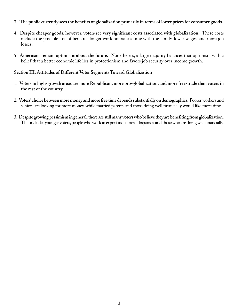- 3. **The public currently sees the benefits of globalization primarily in terms of lower prices for consumer goods.**
- 4. **Despite cheaper goods, however, voters see very significant costs associated with globalization.** These costs include the possible loss of benefits, longer work hours/less time with the family, lower wages, and more job losses.
- **5. Americans remain optimistic about the future.** Nonetheless, a large majority balances that optimism with a belief that a better economic life lies in protectionism and favors job security over income growth.

#### **Section III: Attitudes of Different Voter Segments Toward Globalization**

- 1. **Voters in high-growth areas are more Republican, more pro-globalization, and more free-trade than voters in the rest of the country.**
- 2. **Voters' choice between more money and more free time depends substantially on demographics.** Poorer workers and seniors are looking for more money, while married parents and those doing well financially would like more time.
- 3. **Despite growing pessimism in general, there are still many voters who believe they are benefiting from globalization.** This includes younger voters, people who work in export industries, Hispanics, and those who are doing well financially.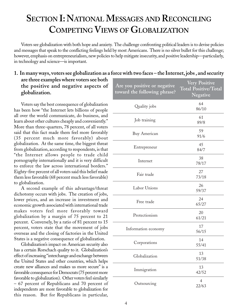### **SECTION I: NATIONAL MESSAGES AND RECONCILING COMPETING VIEWS OF GLOBALIZATION**

Voters see globalization with both hope and anxiety. The challenge confronting political leaders is to devise policies and messages that speak to the conflicting feelings held by most Americans. There is no silver bullet for this challenge; however, emphasis on entrepreneurialism, new policies to help mitigate insecurity, and positive leadership—particularly, in technology and science—is important.

#### **1. In many ways, voters see globalization as a force with two faces – the Internet, jobs , and security are three examples where voters see both the positive and negative aspects of globalization. Are you positive or negative Very Positive Total Positive/Total**

Voters say the best consequence of globalization has been how "the Internet lets billions of people all over the world communicate, do business, and learn about other cultures cheaply and conveniently." More than three-quarters, 78 percent, of all voters said that this fact made them feel more favorably (35 percent much more favorably) about globalization. At the same time, the biggest threat from globalization, according to respondents, is that "the Internet allows people to trade child pornography internationally and it is very difficult to enforce the law across international borders." Eighty-five percent of all voters said this belief made them less favorable (68 percent much less favorable) to globalization.

A second example of this advantage/threat dichotomy occurs with jobs. The creation of jobs, lower prices, and an increase in investment and economic growth associated with international trade makes voters feel more favorably toward globalization by a margin of 75 percent to 21 percent. Conversely, by a ratio of 81 percent to 15 percent, voters state that the movement of jobs overseas and the closing of factories in the United States is a negative consequence of globalization.

Globalization's impact on American security also has a certain Rorschach quality to it. Globalization's effect of increasing "interchange and exchange between the United States and other countries, which helps create new alliances and makes us more secure" is a favorable consequence for Democrats (75 percent more favorable to globalization). Other voters feel similarly – 67 percent of Republicans and 70 percent of independents are more favorable to globalization for this reason. But for Republicans in particular,

| Are you positive or negative<br>toward the following phrase? | Very Positive<br><b>Total Positive/Total</b><br>Negative |
|--------------------------------------------------------------|----------------------------------------------------------|
| Quality jobs                                                 | 64<br>86/10                                              |
| Job training                                                 | 61<br>89/8                                               |
| <b>Buy American</b>                                          | 59<br>91/6                                               |
| Entrepreneur                                                 | 45<br>84/7                                               |
| Internet                                                     | 38<br>78/17                                              |
| Fair trade                                                   | 27<br>73/18                                              |
| Labor Unions                                                 | 26<br>59/37                                              |
| Free trade                                                   | 24<br>65/27                                              |
| Protectionism                                                | 20<br>61/21                                              |
| Information economy                                          | 17<br>56/15                                              |
| Corporations                                                 | 14<br>55/41                                              |
| Globalization                                                | 13<br>51/38                                              |
| Immigration                                                  | 13<br>42/52                                              |
| Outsourcing                                                  | $\overline{4}$<br>22/63                                  |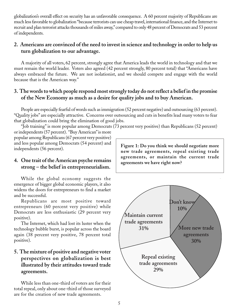globalization's overall effect on security has an unfavorable consequence. A 60 percent majority of Republicans are much less favorable to globalization "because terrorists can use cheap travel, international finance, and the Internet to recruit and plan terrorist attacks thousands of miles away," compared to only 48 percent of Democrats and 53 percent of independents.

#### **2. Americans are convinced of the need to invest in science and technology in order to help us turn globalization to our advantage.**

A majority of all voters, 62 percent, strongly agree that America leads the world in technology and that we must remain the world leader. Voters also agreed (42 percent strongly, 80 percent total) that "Americans have always embraced the future. We are not isolationist, and we should compete and engage with the world because that is the American way."

#### **3. The words to which people respond most strongly today do not reflect a belief in the promise of the New Economy as much as a desire for quality jobs and to buy American.**

People are especially fearful of words such as immigration (52 percent negative) and outsourcing (63 percent). "Quality jobs" are especially attractive. Concerns over outsourcing and cuts in benefits lead many voters to fear that globalization could bring the elimination of good jobs.

"Job training" is more popular among Democrats (73 percent very positive) than Republicans (52 percent) or independents (57 percent). "Buy American" is more

popular among Republicans (67 percent very positive) and less popular among Democrats (54 percent) and independents (56 percent).

#### **4. One trait of the American psyche remains strong – the belief in entrepreneurialism.**

While the global economy suggests the emergence of bigger global economic players, it also widens the doors for entrepreneurs to find a market and be successful.

Republicans are most positive toward entrepreneurs (60 percent very positive) while Democrats are less enthusiastic (29 percent very positive).

The Internet, which had lost its luster when the technology bubble burst, is popular across the board again (38 percent very positive, 78 percent total positive).

### **5. The mixture of positive and negative voter perspectives on globalization is best illustrated by their attitudes toward trade agreements.**

While less than one-third of voters are for their total repeal, only about one-third of those surveyed are for the creation of new trade agreements.

**Figure 1: Do you think we should negotiate more new trade agreements, repeal existing trade agreements, or maintain the current trade agreements we have right now?**

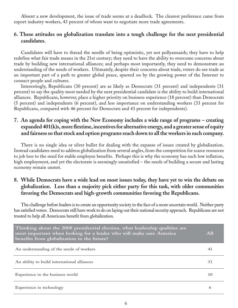Absent a new development, the issue of trade seems at a deadlock. The clearest preference came from export industry workers, 43 percent of whom want to negotiate more trade agreements.

#### **6. These attitudes on globalization translate into a tough challenge for the next presidential candidates.**

Candidates will have to thread the needle of being optimistic, yet not pollyannaish; they have to help redefine what fair trade means in the 21st century; they need to have the ability to overcome concerns about trade by building new international alliances; and perhaps most importantly, they need to demonstrate an understanding of the needs of workers. Ultimately, despite their concerns about trade, voters do see trade as an important part of a path to greater global peace, spurred on by the growing power of the Internet to connect people and cultures.

Interestingly, Republicans (30 percent) are as likely as Democrats (31 percent) and independents (31 percent) to say the quality most needed by the next presidential candidate is the ability to build international alliances. Republicans, however, place a higher priority on business experience (18 percent) than Democrats (5 percent) and independents (6 percent), and less importance on understanding workers (33 percent for Republicans, compared with 46 percent for Democrats and 43 percent for independents).

#### **7. An agenda for coping with the New Economy includes a wide range of programs – creating expanded 401(k)s, more flextime, incentives for alternative energy, and a greater sense of equity and fairness so that stock and option programs reach down to all the workers in each company.**

There is no single idea or silver bullet for dealing with the expanse of issues created by globalization. Instead candidates need to address globalization from several angles, from the competition for scarce resources to job loss to the need for stable employee benefits. Perhaps this is why the economy has such low inflation, high employment, and yet the electorate is seemingly unsatisfied – the needs of building a secure and lasting economy remain unmet.

#### **8. While Democrats have a wide lead on most issues today, they have yet to win the debate on globalization. Less than a majority pick either party for this task, with older communities favoring the Democrats and high-growth communities favoring the Republicans.**

The challenge before leaders is to create an opportunity society in the face of a more uncertain world. Neither party has satisfied voters. Democrats still have work to do on laying out their national security approach. Republicans are not trusted to help all Americans benefit from globalization.

| Thinking about the 2008 presidential election, what leadership qualities are<br>most important when looking for a leader who will make sure America<br>benefits from globalization in the future? | A11 |
|---------------------------------------------------------------------------------------------------------------------------------------------------------------------------------------------------|-----|
| An understanding of the needs of workers                                                                                                                                                          | 41  |
| An ability to build international alliances                                                                                                                                                       | 31  |
| Experience in the business world                                                                                                                                                                  | 10  |
| Experience in technology                                                                                                                                                                          | 6   |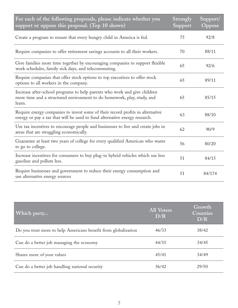| For each of the following proposals, please indicate whether you<br>support or oppose this proposal. (Top 10 shown)                                            | Strongly<br>Support | Support/<br>Oppose |
|----------------------------------------------------------------------------------------------------------------------------------------------------------------|---------------------|--------------------|
| Create a program to ensure that every hungry child in America is fed.                                                                                          | 75                  | 92/8               |
| Require companies to offer retirement savings accounts to all their workers.                                                                                   | 70                  | 88/11              |
| Give families more time together by encouraging companies to support flexible<br>work schedules, family sick days, and telecommuting.                          | 65                  | 92/6               |
| Require companies that offer stock options to top executives to offer stock<br>options to all workers in the company.                                          | 65                  | 89/11              |
| Increase after-school programs to help parents who work and give children<br>more time and a structured environment to do homework, play, study, and<br>learn. | 65                  | 85/15              |
| Require energy companies to invest some of their record profits in alternative<br>energy or pay a tax that will be used to fund alternative energy research.   | 63                  | 88/10              |
| Use tax incentives to encourage people and businesses to live and create jobs in<br>areas that are struggling economically.                                    | 62                  | 90/9               |
| Guarantee at least two years of college for every qualified American who wants<br>to go to college.                                                            | 56                  | 80/20              |
| Increase incentives for consumers to buy plug-in hybrid vehicles which use less<br>gasoline and pollute less.                                                  | 51                  | 84/15              |
| Require businesses and government to reduce their energy consumption and<br>use alternative energy sources                                                     | 51                  | 84/174             |

| Which party                                                    | <b>All Voters</b><br>D/R | Growth<br>Counties<br>D/R |
|----------------------------------------------------------------|--------------------------|---------------------------|
| Do you trust more to help Americans benefit from globalization | 46/33                    | 38/42                     |
| Can do a better job managing the economy                       | 44/35                    | 34/45                     |
| Shares more of your values                                     | 45/41                    | 34/49                     |
| Can do a better job handling national security                 | 36/42                    | 29/50                     |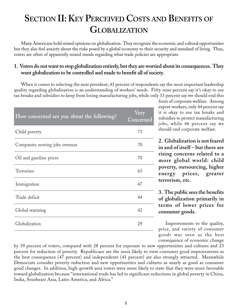### **SECTION II: KEY PERCEIVED COSTS AND BENEFITS OF GLOBALIZATION**

Many Americans hold mixed opinions on globalization. They recognize the economic and cultural opportunities but they also feel anxiety about the risks posed by a global economy to their security and standard of living. Thus, voters are often of apparently mixed minds regarding what trade policies are appropriate.

#### **1. Voters do not want to stop globalization entirely, but they are worried about its consequences. They want globalization to be controlled and made to benefit all of society.**

When it comes to selecting the next president, 41 percent of respondents say the most important leadership quality regarding globalization is an understanding of workers' needs. Fifty-nine percent say it's okay to use tax breaks and subsidies to keep from losing manufacturing jobs, while only 33 percent say we should end this

| How concerned are you about the following? | Very<br>Concerned |
|--------------------------------------------|-------------------|
| Child poverty                              | 71                |
| Companies moving jobs overseas             | 70                |
| Oil and gasoline prices                    | 70                |
| Terrorism                                  | 65                |
| Immigration                                | 47                |
| Trade deficit                              | 44                |
| Global warming                             | 42                |
| Globalization                              | 29                |
|                                            |                   |

form of corporate welfare. Among export workers, only 44 percent say it is okay to use tax breaks and subsidies to protect manufacturing jobs, while 46 percent say we should end corporate welfare.

**2. Globalization is not feared in and of itself – but there are rising concerns related to a more global world: child poverty, outsourcing, higher energy prices, greater terrorism, etc.**

**3. The public sees the benefits of globalization primarily in terms of lower prices for consumer goods.**

Improvements to the quality, price, and variety of consumer goods was seen as the best consequence of economic change

by 39 percent of voters, compared with 28 percent for exposure to new opportunities and cultures and 23 percent for reduction of poverty. Republicans are the most likely to view consumer good improvements as the best consequence (47 percent) and independents (41 percent) are also strongly attracted. Meanwhile Democrats consider poverty reduction and new opportunities and cultures as nearly as good as consumer good changes. In addition, high-growth area voters were more likely to state that they were more favorable toward globalization because "international trade has led to significant reductions in global poverty in China, India, Southeast Asia, Latin America, and Africa."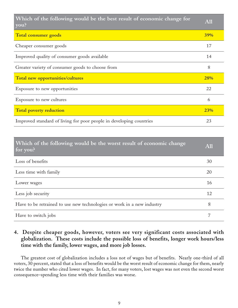| Which of the following would be the best result of economic change for<br>you? | <b>A11</b> |
|--------------------------------------------------------------------------------|------------|
| Total consumer goods                                                           | <b>39%</b> |
| Cheaper consumer goods                                                         | 17         |
| Improved quality of consumer goods available                                   | 14         |
| Greater variety of consumer goods to choose from                               | 8          |
| Total new opportunities/cultures                                               | 28%        |
| Exposure to new opportunities                                                  | 22         |
| Exposure to new cultures                                                       | 6          |
| <b>Total poverty reduction</b>                                                 | 23%        |
| Improved standard of living for poor people in developing countries            | 23         |

| Which of the following would be the worst result of economic change<br>$\frac{1}{2}$ for you? | <b>All</b> |
|-----------------------------------------------------------------------------------------------|------------|
| Loss of benefits                                                                              | 30         |
| Less time with family                                                                         | 20         |
| Lower wages                                                                                   | 16         |
| Less job security                                                                             | 12         |
| Have to be retrained to use new technologies or work in a new industry                        | 8          |
| Have to switch jobs                                                                           | 7          |

### **4. Despite cheaper goods, however, voters see very significant costs associated with globalization. These costs include the possible loss of benefits, longer work hours/less time with the family, lower wages, and more job losses.**

The greatest cost of globalization includes a loss not of wages but of benefits. Nearly one-third of all voters, 30 percent, stated that a loss of benefits would be the worst result of economic change for them, nearly twice the number who cited lower wages. In fact, for many voters, lost wages was not even the second worst consequence–spending less time with their families was worse.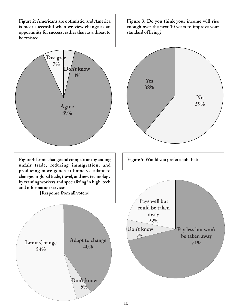**Figure 2: Americans are optimistic, and America is most successful when we view change as an opportunity for success, rather than as a threat to be resisted.**



**54%**

**Figure 3: Do you think your income will rise enough over the next 10 years to improve your standard of living?**



**Don't know 5%**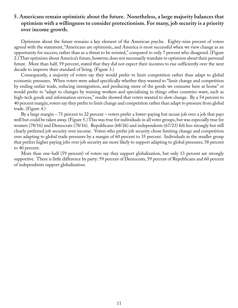#### **5. Americans remain optimistic about the future. Nonetheless, a large majority balances that optimism with a willingness to consider protectionism. For many, job security is a priority over income growth.**

Optimism about the future remains a key element of the American psyche. Eighty-nine percent of voters agreed with the statement, "Americans are optimistic, and America is most successful when we view change as an opportunity for success, rather than as a threat to be resisted," compared to only 7 percent who disagreed. (Figure 2.) That optimism about America's future, however, does not necessarily translate to optimism about their personal future. More than half, 59 percent, stated that they did not expect their incomes to rise sufficiently over the next decade to improve their standard of living. (Figure 3.)

Consequently, a majority of voters say they would prefer to limit competition rather than adapt to global economic pressures. When voters were asked specifically whether they wanted to "limit change and competition by ending unfair trade, reducing immigration, and producing more of the goods we consume here at home" or would prefer to "adapt to changes by training workers and specializing in things other countries want, such as high-tech goods and information services," results showed that voters wanted to slow change. By a 54 percent to 40 percent margin, voters say they prefer to limit change and competition rather than adapt to pressure from global trade. (Figure 4.)

By a large margin – 71 percent to 22 percent – voters prefer a lower-paying but secure job over a job that pays well but could be taken away. (Figure 5.) This was true for individuals in all voter groups, but was especially true for women (78/16) and Democrats (78/16). Republicans (68/26) and independents (67/23) felt less strongly but still clearly preferred job security over income. Voters who prefer job security chose limiting change and competition over adapting to global trade pressures by a margin of 60 percent to 35 percent. Individuals in the smaller group that prefers higher paying jobs over job security are more likely to support adapting to global pressures, 58 percent to 40 percent.

More than one-half (59 percent) of voters say they support globalization, but only 13 percent are strongly supportive. There is little difference by party: 59 percent of Democrats, 59 percent of Republicans and 60 percent of independents support globalization.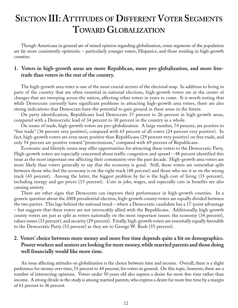### **SECTION III: ATTITUDES OF DIFFERENT VOTER SEGMENTS TOWARD GLOBALIZATION**

Though Americans in general are of mixed opinion regarding globalization, some segments of the population are far more consistently optimistic – particularly younger voters, Hispanics, and those residing in high-growth counties.

#### **1. Voters in high-growth areas are more Republican, more pro-globalization, and more freetrade than voters in the rest of the country.**

The high-growth area voter is one of the most crucial sectors of the electoral map. In addition to living in parts of the country that are often essential in national elections, high-growth voters are at the center of changes that are sweeping across the nation, affecting other voters in years to come. It is worth noting that while Democrats currently have significant problems in attracting high-growth area voters, there are also strong indications that Democrats have the potential to gain ground in these areas in the future.

On party identification, Republicans lead Democrats 37 percent to 26 percent in high-growth areas, compared with a Democratic lead of 34 percent to 30 percent in the country as a whole.

On issues of trade, high-growth voters are pro-globalization. A large number, 74 percent, are positive to "free trade" (36 percent very positive), compared with 65 percent of all voters (24 percent very positive). In fact, high-growth voters are even more positive than Republicans (29 percent very positive) on free trade, and only 54 percent are positive toward "protectionism," compared with 69 percent of Republicans.

Economic and lifestyle issues may offer opportunities for attracting these voters to the Democratic Party. High-growth voters are especially concerned about traffic congestion and sprawl – 48 percent identified this issue as the most important one affecting their community over the past decade. High-growth area voters are more likely than voters generally to say that the economy is good. Still, these voters are somewhat split between those who feel the economy is on the right track (48 percent) and those who see it as on the wrong track (43 percent). Among the latter, the biggest problem by far is the high cost of living (35 percent), including energy and gas prices (15 percent). Cuts in jobs, wages, and especially cuts in benefits are also causing anxiety.

There are other signs that Democrats can improve their performance in high-growth counties. In a generic question about the 2008 presidential election, high-growth county voters are equally divided between the two parties. This lags behind the national trend – where a Democratic candidate has a 17-point advantage – but suggests that these voters are not irrevocably allied with the Republicans. Additionally, high-growth county voters are just as split as voters nationally on the most important issues: the economy (34 percent), values issues (33 percent), and security (29 percent). Finally, high-growth voters are essentially equally favorable to the Democratic Party (52 percent) as they are to George W. Bush (55 percent).

#### **2. Voters' choice between more money and more free time depends quite a bit on demographics. Poorer workers and seniors are looking for more money, while married parents and those doing well financially would like more time.**

An issue affecting attitudes on globalization is the choice between time and income. Overall, there is a slight preference for money over time, 51 percent to 44 percent, for voters in general. On this topic, however, there are a number of intersecting opinions. Voters under 50 years old also express a desire for more free time rather than income. A strong divide in the study is among married parents, who express a desire for more free time by a margin of 61 percent to 36 percent.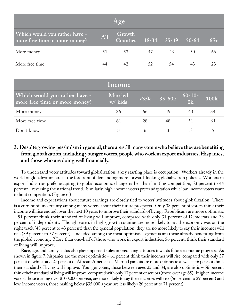| Age                                                            |     |                           |                 |    |         |       |
|----------------------------------------------------------------|-----|---------------------------|-----------------|----|---------|-------|
| Which would you rather have -<br>more free time or more money? | All | Growth<br><b>Counties</b> | $18-34$ $35-49$ |    | $50-64$ | $65+$ |
| More money                                                     | 51  | 53                        | 47              | 43 | 50      | 66    |
| More free time                                                 | 44  | 42                        | 52              | 54 | 43      |       |

|                                                                | Income             |    |               |                    |         |
|----------------------------------------------------------------|--------------------|----|---------------|--------------------|---------|
| Which would you rather have -<br>more free time or more money? | Married<br>w/ kids |    | $<35k$ 35-60k | $\frac{60-10}{0k}$ | $100k+$ |
| More money                                                     | 36                 | 66 | 49            | 43                 | 34      |
| More free time                                                 | 61                 | 28 | 48            | 51                 | 61      |
| Don't know                                                     |                    | 6  |               |                    |         |

#### **3. Despite growing pessimism in general, there are still many voters who believe they are benefiting from globalization, including younger voters, people who work in export industries, Hispanics, and those who are doing well financially.**

To understand voter attitudes toward globalization, a key starting place is occupation. Workers already in the world of globalization are at the forefront of demanding more forward-looking globalization policies. Workers in export industries prefer adapting to global economic change rather than limiting competition, 53 percent to 44 percent – reversing the national trend. Similarly, high-income voters prefer adaptation while low-income voters want to limit competition. (Figure 6.)

Income and expectations about future earnings are closely tied to voters' attitudes about globalization. There is a current of uncertainty among many voters about their future prospects. Only 38 percent of voters think their income will rise enough over the next 10 years to improve their standard of living. Republicans are more optimistic – 51 percent think their standard of living will improve, compared with only 31 percent of Democrats and 33 percent of independents. Though voters in high-growth counties are more likely to say the economy was on the right track (48 percent to 43 percent) than the general population, they are no more likely to say their incomes will rise (39 percent to 57 percent). Included among the most optimistic segments are those already benefiting from the global economy. More than one-half of those who work in export industries, 56 percent, think their standard of living will improve.

Race, age, and family status also play important roles in predicting attitudes towards future economic progress. As shown in figure 7, hispanics are the most optimistic – 61 percent think their incomes will rise, compared with only 37 percent of whites and 27 percent of African-Americans. Married parents are more optimistic as well – 56 percent think their standard of living will improve. Younger voters, those between ages 25 and 34, are also optimistic – 56 percent think their standard of living will improve, compared with only 17 percent of seniors (those over age 65). Higher-income voters, those earning over \$100,000 per year, are more likely to say their incomes will rise (56 percent to 39 percent) and low-income voters, those making below \$35,000 a year, are less likely (26 percent to 71 percent).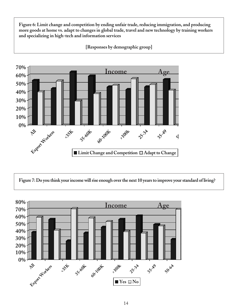**Figure 6: Limit change and competition by ending unfair trade, reducing immigration, and producing more goods at home vs. adapt to changes in global trade, travel and new technology by training workers and specializing in high-tech and information services**



**[Responses by demographic group]**

**Figure 7: Do you think your income will rise enough over the next 10 years to improve your standard of living?**

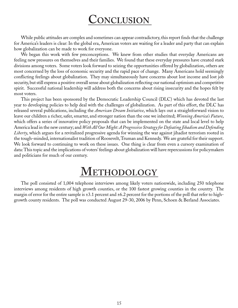### **CONCLUSION**

While public attitudes are complex and sometimes can appear contradictory, this report finds that the challenge for America's leaders is clear: In the global era, American voters are waiting for a leader and party that can explain how globalization can be made to work for everyone.

We began this work with few preconceptions. We knew from other studies that everyday Americans are feeling new pressures on themselves and their families. We found that these everyday pressures have created stark divisions among voters. Some voters look forward to seizing the opportunities offered by globalization, others are most concerned by the loss of economic security and the rapid pace of change. Many Americans hold seemingly conflicting feelings about globalization. They may simultaneously have concerns about lost income and lost job security, but still express a positive overall sense about globalization reflecting our national optimism and competitive spirit. Successful national leadership will address both the concerns about rising insecurity and the hopes felt by most voters.

This project has been sponsored by the Democratic Leadership Council (DLC) which has devoted the last year to developing policies to help deal with the challenges of globalization. As part of this effort, the DLC has released several publications, including the *American Dream Initiative*, which lays out a straightforward vision to leave our children a richer, safer, smarter, and stronger nation than the one we inherited; *Winning America's Future*, which offers a series of innovative policy proposals that can be implemented on the state and local level to help America lead in the new century; and *With All Our Might: A Progressive Strategy for Defeating Jihadism and Defending Liberty*, which argues for a revitalized progressive agenda for winning the war against jihadist terrorism rooted in the tough-minded, internationalist tradition of Roosevelt, Truman and Kennedy. We are grateful for their support. We look forward to continuing to work on these issues. One thing is clear from even a cursory examination of data: This topic and the implications of voters' feelings about globalization will have repercussions for policymakers and politicians for much of our century.

### **METHODOLOGY**

The poll consisted of 1,004 telephone interviews among likely voters nationwide, including 250 telephone interviews among residents of high growth counties, or the 100 fastest growing counties in the country. The margin of error for the entire sample is  $\pm 3.1$  percent and  $\pm 6.2$  percent for the portions of the poll that refer to highgrowth county residents. The poll was conducted August 29-30, 2006 by Penn, Schoen & Berland Associates.